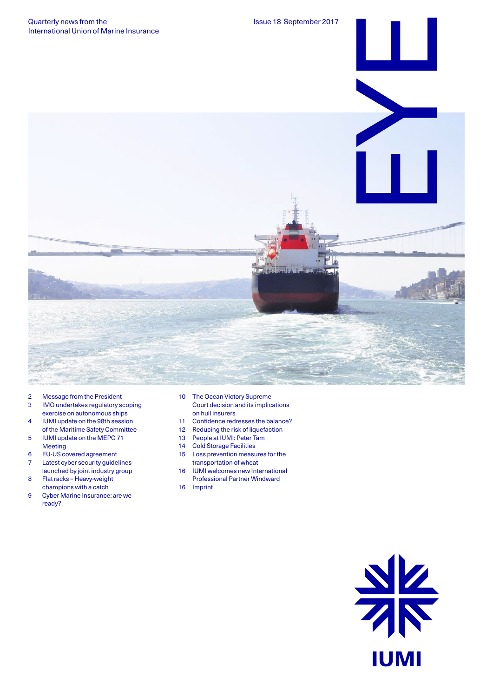

- 2 Message from the President
- 3 IMO undertakes regulatory scoping exercise on autonomous ships
- 4 IUMI update on the 98th session of the Maritime Safety Committee
- 5 IUMI update on the MEPC 71 Meeting
- 6 EU-US covered agreement
- 7 Latest cyber security guidelines
- launched by joint industry group 8 Flat racks – Heavy-weight
- champions with a catch
- 9 Cyber Marine Insurance: are we ready?
- 10 The Ocean Victory Supreme Court decision and its implications on hull insurers
- 11 Confidence redresses the balance?<br>12 Reducing the risk of liquefaction
- Reducing the risk of liquefaction
- 13 People at IUMI: Peter Tam
- 14 Cold Storage Facilities
- 15 Loss prevention measures for the transportation of wheat
- 16 IUMI welcomes new International Professional Partner Windward
- 16 Imprint

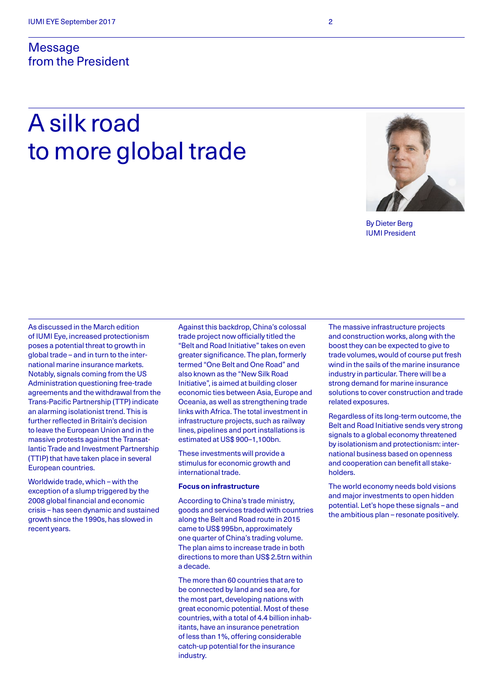### **Message** from the President

# A silk road to more global trade



By Dieter Berg IUMI President

As discussed in the March edition of IUMI Eye, increased protectionism poses a potential threat to growth in global trade – and in turn to the international marine insurance markets. Notably, signals coming from the US Administration questioning free-trade agreements and the withdrawal from the Trans-Pacific Partnership (TTP) indicate an alarming isolationist trend. This is further reflected in Britain's decision to leave the European Union and in the massive protests against the Transatlantic Trade and Investment Partnership (TTIP) that have taken place in several European countries.

Worldwide trade, which – with the exception of a slump triggered by the 2008 global financial and economic crisis – has seen dynamic and sustained growth since the 1990s, has slowed in recent years.

Against this backdrop, China's colossal trade project now officially titled the "Belt and Road Initiative" takes on even greater significance. The plan, formerly termed "One Belt and One Road" and also known as the "New Silk Road Initiative", is aimed at building closer economic ties between Asia, Europe and Oceania, as well as strengthening trade links with Africa. The total investment in infrastructure projects, such as railway lines, pipelines and port installations is estimated at US\$ 900–1,100bn.

These investments will provide a stimulus for economic growth and international trade.

#### **Focus on infrastructure**

According to China's trade ministry, goods and services traded with countries along the Belt and Road route in 2015 came to US\$ 995bn, approximately one quarter of China's trading volume. The plan aims to increase trade in both directions to more than US\$ 2.5trn within a decade.

The more than 60 countries that are to be connected by land and sea are, for the most part, developing nations with great economic potential. Most of these countries, with a total of 4.4 billion inhabitants, have an insurance penetration of less than 1%, offering considerable catch-up potential for the insurance industry.

The massive infrastructure projects and construction works, along with the boost they can be expected to give to trade volumes, would of course put fresh wind in the sails of the marine insurance industry in particular. There will be a strong demand for marine insurance solutions to cover construction and trade related exposures.

Regardless of its long-term outcome, the Belt and Road Initiative sends very strong signals to a global economy threatened by isolationism and protectionism: international business based on openness and cooperation can benefit all stakeholders.

The world economy needs bold visions and major investments to open hidden potential. Let's hope these signals – and the ambitious plan – resonate positively.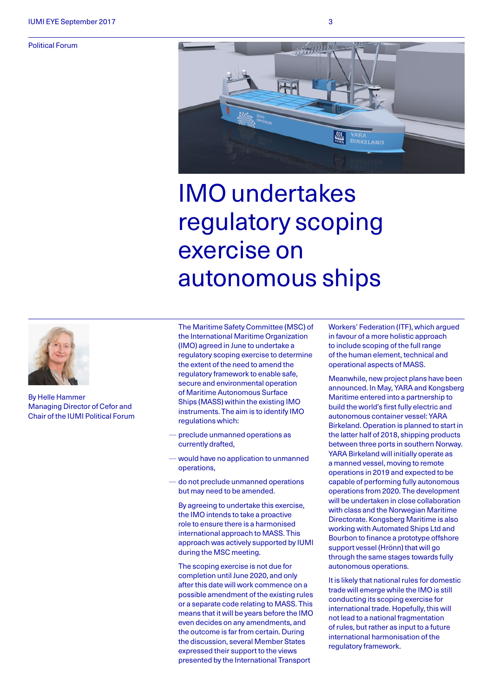Political Forum



# IMO undertakes regulatory scoping exercise on autonomous ships



By Helle Hammer Managing Director of Cefor and Chair of the IUMI Political Forum The Maritime Safety Committee (MSC) of the International Maritime Organization (IMO) agreed in June to undertake a regulatory scoping exercise to determine the extent of the need to amend the regulatory framework to enable safe, secure and environmental operation of Maritime Autonomous Surface Ships (MASS) within the existing IMO instruments. The aim is to identify IMO regulations which:

- preclude unmanned operations as currently drafted,
- would have no application to unmanned operations,
- do not preclude unmanned operations but may need to be amended.

By agreeing to undertake this exercise, the IMO intends to take a proactive role to ensure there is a harmonised international approach to MASS. This approach was actively supported by IUMI during the MSC meeting.

The scoping exercise is not due for completion until June 2020, and only after this date will work commence on a possible amendment of the existing rules or a separate code relating to MASS. This means that it will be years before the IMO even decides on any amendments, and the outcome is far from certain. During the discussion, several Member States expressed their support to the views presented by the International Transport

Workers' Federation (ITF), which argued in favour of a more holistic approach to include scoping of the full range of the human element, technical and operational aspects of MASS.

Meanwhile, new project plans have been announced. In May, YARA and Kongsberg Maritime entered into a partnership to build the world's first fully electric and autonomous container vessel: YARA Birkeland. Operation is planned to start in the latter half of 2018, shipping products between three ports in southern Norway. YARA Birkeland will initially operate as a manned vessel, moving to remote operations in 2019 and expected to be capable of performing fully autonomous operations from 2020. The development will be undertaken in close collaboration with class and the Norwegian Maritime Directorate. Kongsberg Maritime is also working with Automated Ships Ltd and Bourbon to finance a prototype offshore support vessel (Hrönn) that will go through the same stages towards fully autonomous operations.

It is likely that national rules for domestic trade will emerge while the IMO is still conducting its scoping exercise for international trade. Hopefully, this will not lead to a national fragmentation of rules, but rather as input to a future international harmonisation of the regulatory framework.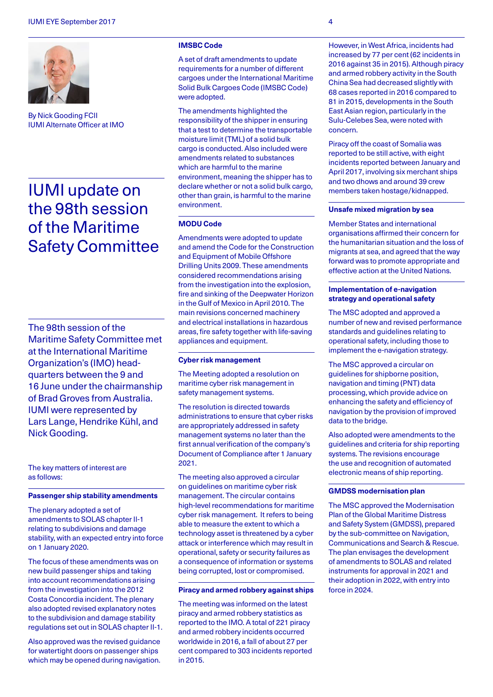

By Nick Gooding FCII IUMI Alternate Officer at IMO

## IUMI update on the 98th session of the Maritime Safety Committee

The 98th session of the Maritime Safety Committee met at the International Maritime Organization's (IMO) headquarters between the 9 and 16 June under the chairmanship of Brad Groves from Australia. IUMI were represented by Lars Lange, Hendrike Kühl, and Nick Gooding.

The key matters of interest are as follows:

#### **Passenger ship stability amendments**

The plenary adopted a set of amendments to SOLAS chapter II-1 relating to subdivisions and damage stability, with an expected entry into force on 1 January 2020.

The focus of these amendments was on new build passenger ships and taking into account recommendations arising from the investigation into the 2012 Costa Concordia incident. The plenary also adopted revised explanatory notes to the subdivision and damage stability regulations set out in SOLAS chapter II-1.

Also approved was the revised guidance for watertight doors on passenger ships which may be opened during navigation.

#### **IMSBC Code**

A set of draft amendments to update requirements for a number of different cargoes under the International Maritime Solid Bulk Cargoes Code (IMSBC Code) were adopted.

The amendments highlighted the responsibility of the shipper in ensuring that a test to determine the transportable moisture limit (TML) of a solid bulk cargo is conducted. Also included were amendments related to substances which are harmful to the marine environment, meaning the shipper has to declare whether or not a solid bulk cargo, other than grain, is harmful to the marine environment.

#### **MODU Code**

Amendments were adopted to update and amend the Code for the Construction and Equipment of Mobile Offshore Drilling Units 2009. These amendments considered recommendations arising from the investigation into the explosion, fire and sinking of the Deepwater Horizon in the Gulf of Mexico in April 2010. The main revisions concerned machinery and electrical installations in hazardous areas, fire safety together with life-saving appliances and equipment.

#### **Cyber risk management**

The Meeting adopted a resolution on maritime cyber risk management in safety management systems.

The resolution is directed towards administrations to ensure that cyber risks are appropriately addressed in safety management systems no later than the first annual verification of the company's Document of Compliance after 1 January 2021.

The meeting also approved a circular on guidelines on maritime cyber risk management. The circular contains high-level recommendations for maritime cyber risk management. It refers to being able to measure the extent to which a technology asset is threatened by a cyber attack or interference which may result in operational, safety or security failures as a consequence of information or systems being corrupted, lost or compromised.

#### **Piracy and armed robbery against ships**

The meeting was informed on the latest piracy and armed robbery statistics as reported to the IMO. A total of 221 piracy and armed robbery incidents occurred worldwide in 2016, a fall of about 27 per cent compared to 303 incidents reported in 2015.

However, in West Africa, incidents had increased by 77 per cent (62 incidents in 2016 against 35 in 2015). Although piracy and armed robbery activity in the South China Sea had decreased slightly with 68 cases reported in 2016 compared to 81 in 2015, developments in the South East Asian region, particularly in the Sulu-Celebes Sea, were noted with concern.

Piracy off the coast of Somalia was reported to be still active, with eight incidents reported between January and April 2017, involving six merchant ships and two dhows and around 39 crew members taken hostage/kidnapped.

#### **Unsafe mixed migration by sea**

Member States and international organisations affirmed their concern for the humanitarian situation and the loss of migrants at sea, and agreed that the way forward was to promote appropriate and effective action at the United Nations.

#### **Implementation of e-navigation strategy and operational safety**

The MSC adopted and approved a number of new and revised performance standards and guidelines relating to operational safety, including those to implement the e-navigation strategy.

The MSC approved a circular on guidelines for shipborne position, navigation and timing (PNT) data processing, which provide advice on enhancing the safety and efficiency of navigation by the provision of improved data to the bridge.

Also adopted were amendments to the guidelines and criteria for ship reporting systems. The revisions encourage the use and recognition of automated electronic means of ship reporting.

#### **GMDSS modernisation plan**

The MSC approved the Modernisation Plan of the Global Maritime Distress and Safety System (GMDSS), prepared by the sub-committee on Navigation, Communications and Search & Rescue. The plan envisages the development of amendments to SOLAS and related instruments for approval in 2021 and their adoption in 2022, with entry into force in 2024.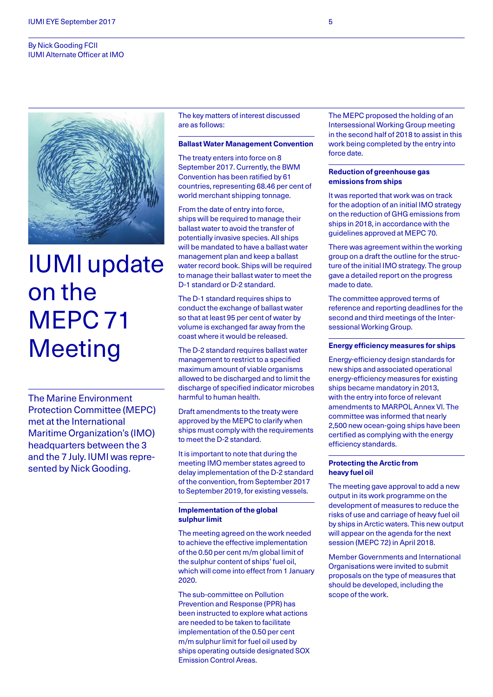#### By Nick Gooding FCII IUMI Alternate Officer at IMO



# IUMI update on the MEPC 71 **Meeting**

The Marine Environment Protection Committee (MEPC) met at the International Maritime Organization's (IMO) headquarters between the 3 and the 7 July. IUMI was represented by Nick Gooding.

The key matters of interest discussed are as follows:

#### **Ballast Water Management Convention**

The treaty enters into force on 8 September 2017. Currently, the BWM Convention has been ratified by 61 countries, representing 68.46 per cent of world merchant shipping tonnage.

From the date of entry into force, ships will be required to manage their ballast water to avoid the transfer of potentially invasive species. All ships will be mandated to have a ballast water management plan and keep a ballast water record book. Ships will be required to manage their ballast water to meet the D-1 standard or D-2 standard.

The D-1 standard requires ships to conduct the exchange of ballast water so that at least 95 per cent of water by volume is exchanged far away from the coast where it would be released.

The D-2 standard requires ballast water management to restrict to a specified maximum amount of viable organisms allowed to be discharged and to limit the discharge of specified indicator microbes harmful to human health.

Draft amendments to the treaty were approved by the MEPC to clarify when ships must comply with the requirements to meet the D-2 standard.

It is important to note that during the meeting IMO member states agreed to delay implementation of the D-2 standard of the convention, from September 2017 to September 2019, for existing vessels.

#### **Implementation of the global sulphur limit**

The meeting agreed on the work needed to achieve the effective implementation of the 0.50 per cent m/m global limit of the sulphur content of ships' fuel oil, which will come into effect from 1 January 2020.

The sub-committee on Pollution Prevention and Response (PPR) has been instructed to explore what actions are needed to be taken to facilitate implementation of the 0.50 per cent m/m sulphur limit for fuel oil used by ships operating outside designated SOX Emission Control Areas.

The MEPC proposed the holding of an Intersessional Working Group meeting in the second half of 2018 to assist in this work being completed by the entry into force date.

#### **Reduction of greenhouse gas emissions from ships**

It was reported that work was on track for the adoption of an initial IMO strategy on the reduction of GHG emissions from ships in 2018, in accordance with the guidelines approved at MEPC 70.

There was agreement within the working group on a draft the outline for the structure of the initial IMO strategy. The group gave a detailed report on the progress made to date.

The committee approved terms of reference and reporting deadlines for the second and third meetings of the Intersessional Working Group.

#### **Energy efficiency measures for ships**

Energy-efficiency design standards for new ships and associated operational energy-efficiency measures for existing ships became mandatory in 2013, with the entry into force of relevant amendments to MARPOL Annex VI. The committee was informed that nearly 2,500 new ocean-going ships have been certified as complying with the energy efficiency standards.

#### **Protecting the Arctic from heavy fuel oil**

The meeting gave approval to add a new output in its work programme on the development of measures to reduce the risks of use and carriage of heavy fuel oil by ships in Arctic waters. This new output will appear on the agenda for the next session (MEPC 72) in April 2018.

Member Governments and International Organisations were invited to submit proposals on the type of measures that should be developed, including the scope of the work.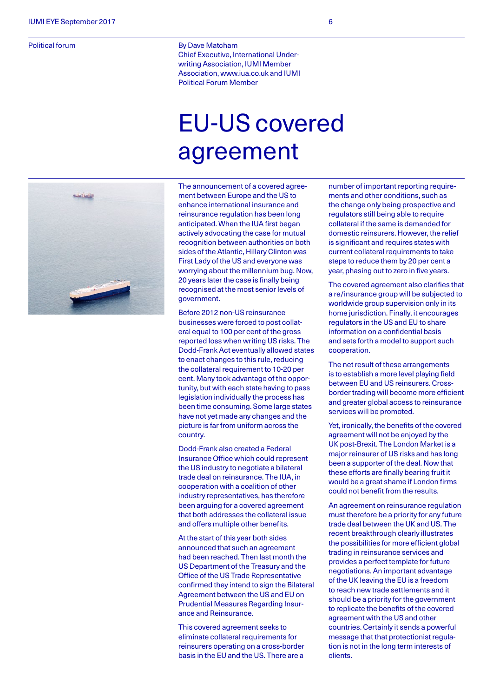Political forum

By Dave Matcham Chief Executive, International Underwriting Association, IUMI Member Association, www.iua.co.uk and IUMI Political Forum Member

# EU-US covered agreement



The announcement of a covered agreement between Europe and the US to enhance international insurance and reinsurance regulation has been long anticipated. When the IUA first began actively advocating the case for mutual recognition between authorities on both sides of the Atlantic, Hillary Clinton was First Lady of the US and everyone was worrying about the millennium bug. Now, 20 years later the case is finally being recognised at the most senior levels of government.

Before 2012 non-US reinsurance businesses were forced to post collateral equal to 100 per cent of the gross reported loss when writing US risks. The Dodd-Frank Act eventually allowed states to enact changes to this rule, reducing the collateral requirement to 10-20 per cent. Many took advantage of the opportunity, but with each state having to pass legislation individually the process has been time consuming. Some large states have not yet made any changes and the picture is far from uniform across the country.

Dodd-Frank also created a Federal Insurance Office which could represent the US industry to negotiate a bilateral trade deal on reinsurance. The IUA, in cooperation with a coalition of other industry representatives, has therefore been arguing for a covered agreement that both addresses the collateral issue and offers multiple other benefits.

At the start of this year both sides announced that such an agreement had been reached. Then last month the US Department of the Treasury and the Office of the US Trade Representative confirmed they intend to sign the Bilateral Agreement between the US and EU on Prudential Measures Regarding Insurance and Reinsurance.

This covered agreement seeks to eliminate collateral requirements for reinsurers operating on a cross-border basis in the EU and the US. There are a

number of important reporting requirements and other conditions, such as the change only being prospective and regulators still being able to require collateral if the same is demanded for domestic reinsurers. However, the relief is significant and requires states with current collateral requirements to take steps to reduce them by 20 per cent a year, phasing out to zero in five years.

The covered agreement also clarifies that a re/insurance group will be subjected to worldwide group supervision only in its home jurisdiction. Finally, it encourages regulators in the US and EU to share information on a confidential basis and sets forth a model to support such cooperation.

The net result of these arrangements is to establish a more level playing field between EU and US reinsurers. Crossborder trading will become more efficient and greater global access to reinsurance services will be promoted.

Yet, ironically, the benefits of the covered agreement will not be enjoyed by the UK post-Brexit. The London Market is a major reinsurer of US risks and has long been a supporter of the deal. Now that these efforts are finally bearing fruit it would be a great shame if London firms could not benefit from the results.

An agreement on reinsurance regulation must therefore be a priority for any future trade deal between the UK and US. The recent breakthrough clearly illustrates the possibilities for more efficient global trading in reinsurance services and provides a perfect template for future negotiations. An important advantage of the UK leaving the EU is a freedom to reach new trade settlements and it should be a priority for the government to replicate the benefits of the covered agreement with the US and other countries. Certainly it sends a powerful message that that protectionist regulation is not in the long term interests of clients.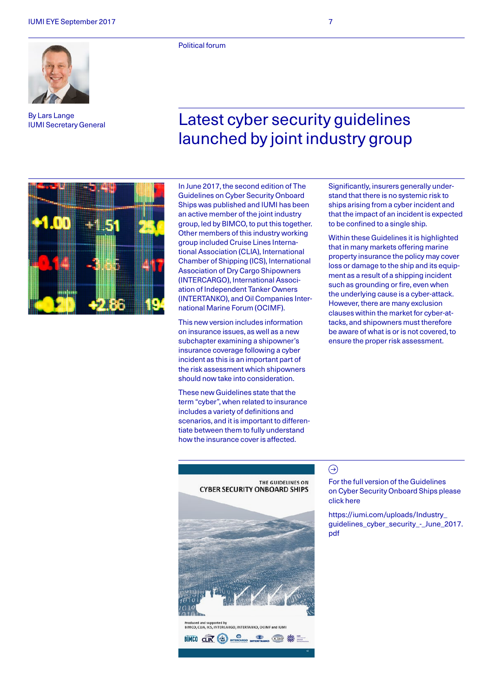By Lars Lange IUMI Secretary General

Political forum

## Latest cyber security guidelines launched by joint industry group



In June 2017, the second edition of The Guidelines on Cyber Security Onboard Ships was published and IUMI has been an active member of the joint industry group, led by BIMCO, to put this together. Other members of this industry working group included Cruise Lines International Association (CLIA), International Chamber of Shipping (ICS), International Association of Dry Cargo Shipowners (INTERCARGO), International Association of Independent Tanker Owners (INTERTANKO), and Oil Companies International Marine Forum (OCIMF).

This new version includes information on insurance issues, as well as a new subchapter examining a shipowner's insurance coverage following a cyber incident as this is an important part of the risk assessment which shipowners should now take into consideration.

These new Guidelines state that the term "cyber", when related to insurance includes a variety of definitions and scenarios, and it is important to differentiate between them to fully understand how the insurance cover is affected.

Significantly, insurers generally understand that there is no systemic risk to ships arising from a cyber incident and that the impact of an incident is expected to be confined to a single ship.

Within these Guidelines it is highlighted that in many markets offering marine property insurance the policy may cover loss or damage to the ship and its equipment as a result of a shipping incident such as grounding or fire, even when the underlying cause is a cyber-attack. However, there are many exclusion clauses within the market for cyber-attacks, and shipowners must therefore be aware of what is or is not covered, to ensure the proper risk assessment.



#### $\bigodot$

For the full version of the Guidelines on Cyber Security Onboard Ships please click here

[https://iumi.com/uploads/Industry\\_](https://iumi.com/uploads/Industry_guidelines_cyber_security_-_June_2017.pdf) [guidelines\\_cyber\\_security\\_-\\_June\\_2017.](https://iumi.com/uploads/Industry_guidelines_cyber_security_-_June_2017.pdf) [pdf](https://iumi.com/uploads/Industry_guidelines_cyber_security_-_June_2017.pdf)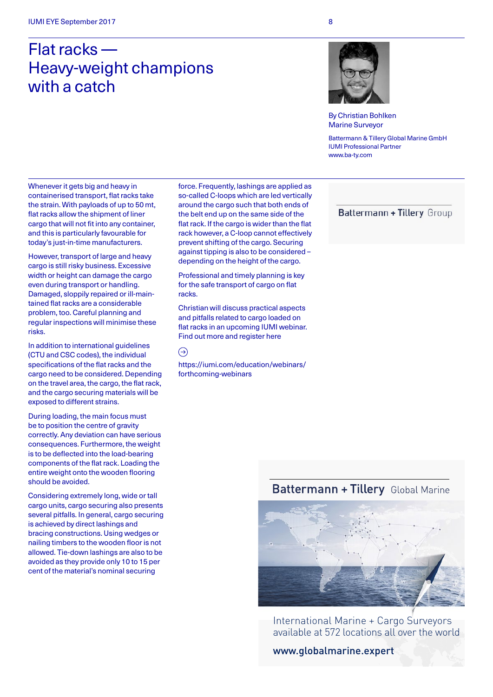## Flat racks — Heavy-weight champions with a catch



By Christian Bohlken Marine Surveyor

Battermann & Tillery Global Marine GmbH IUMI Professional Partner www.ba-ty.com

Whenever it gets big and heavy in containerised transport, flat racks take the strain. With payloads of up to 50 mt, flat racks allow the shipment of liner cargo that will not fit into any container, and this is particularly favourable for today's just-in-time manufacturers.

However, transport of large and heavy cargo is still risky business. Excessive width or height can damage the cargo even during transport or handling. Damaged, sloppily repaired or ill-maintained flat racks are a considerable problem, too. Careful planning and regular inspections will minimise these risks.

In addition to international guidelines (CTU and CSC codes), the individual specifications of the flat racks and the cargo need to be considered. Depending on the travel area, the cargo, the flat rack, and the cargo securing materials will be exposed to different strains.

During loading, the main focus must be to position the centre of gravity correctly. Any deviation can have serious consequences. Furthermore, the weight is to be deflected into the load-bearing components of the flat rack. Loading the entire weight onto the wooden flooring should be avoided.

Considering extremely long, wide or tall cargo units, cargo securing also presents several pitfalls. In general, cargo securing is achieved by direct lashings and bracing constructions. Using wedges or nailing timbers to the wooden floor is not allowed. Tie-down lashings are also to be avoided as they provide only 10 to 15 per cent of the material's nominal securing

force. Frequently, lashings are applied as so-called C-loops which are led vertically around the cargo such that both ends of the belt end up on the same side of the flat rack. If the cargo is wider than the flat rack however, a C-loop cannot effectively prevent shifting of the cargo. Securing against tipping is also to be considered – depending on the height of the cargo.

Professional and timely planning is key for the safe transport of cargo on flat racks.

Christian will discuss practical aspects and pitfalls related to cargo loaded on flat racks in an upcoming IUMI webinar. Find out more and register here

#### $\odot$

[https://iumi.com/education/webinars/](https://iumi.com/education/webinars/forthcoming-webinars) [forthcoming-webinars](https://iumi.com/education/webinars/forthcoming-webinars)

Battermann + Tillery Group

### Battermann + Tillery Global Marine



International Marine + Cargo Surveyors [available at 572 locations all over the world](http://www.globalmarine.expert/)

www.globalmarine.expert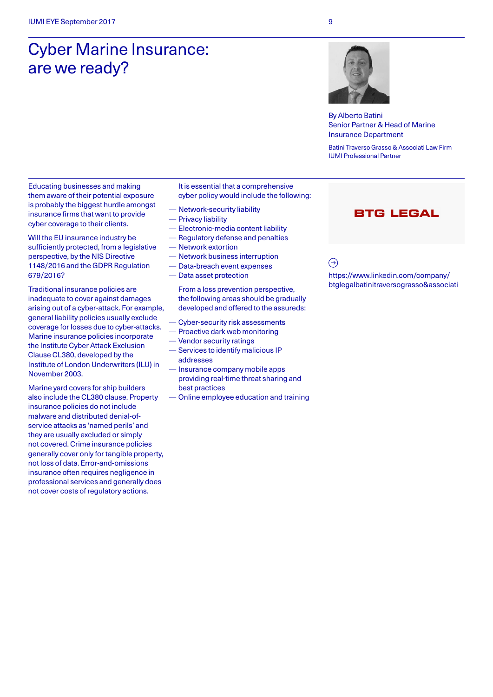# Cyber Marine Insurance: are we ready?



By Alberto Batini Senior Partner & Head of Marine Insurance Department

Batini Traverso Grasso & Associati Law Firm IUMI Professional Partner

Educating businesses and making them aware of their potential exposure is probably the biggest hurdle amongst insurance firms that want to provide cyber coverage to their clients.

Will the EU insurance industry be sufficiently protected, from a legislative perspective, by the NIS Directive 1148/2016 and the GDPR Regulation 679/2016?

Traditional insurance policies are inadequate to cover against damages arising out of a cyber-attack. For example, general liability policies usually exclude coverage for losses due to cyber-attacks. Marine insurance policies incorporate the Institute Cyber Attack Exclusion Clause CL380, developed by the Institute of London Underwriters (ILU) in November 2003.

Marine yard covers for ship builders also include the CL380 clause. Property insurance policies do not include malware and distributed denial-ofservice attacks as 'named perils' and they are usually excluded or simply not covered. Crime insurance policies generally cover only for tangible property, not loss of data. Error-and-omissions insurance often requires negligence in professional services and generally does not cover costs of regulatory actions.

It is essential that a comprehensive cyber policy would include the following:

- Network-security liability
- Privacy liability
- Electronic-media content liability
- Regulatory defense and penalties — Network extortion
- Network business interruption
- Data-breach event expenses
- Data asset protection

From a loss prevention perspective, the following areas should be gradually developed and offered to the assureds:

- Cyber-security risk assessments
- Proactive dark web monitoring
- Vendor security ratings
- Services to identify malicious IP addresses
- Insurance company mobile apps providing real-time threat sharing and best practices
- Online employee education and training

### **BTG LEGAL**

 $\bigodot$ 

[https://www.linkedin.com/company/](https://www.linkedin.com/company/btglegalbatinitraversograsso&associati) [btglegalbatinitraversograsso&associati](https://www.linkedin.com/company/btglegalbatinitraversograsso&associati)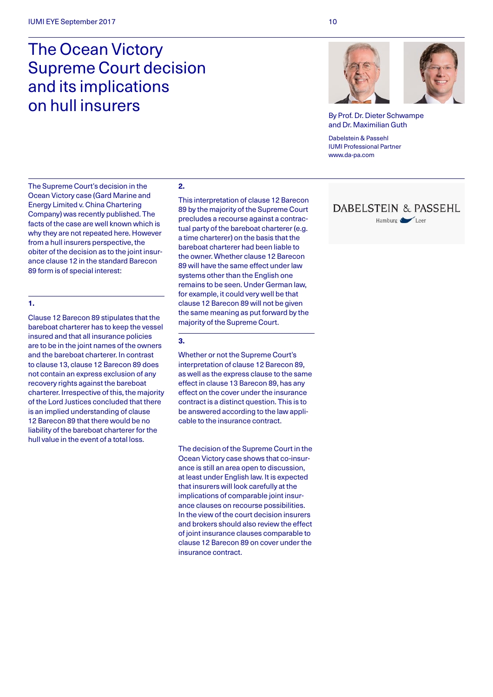## The Ocean Victory Supreme Court decision and its implications on hull insurers

By Prof. Dr. Dieter Schwampe and Dr. Maximilian Guth

Dabelstein & Passehl IUMI Professional Partner [www.da-pa.com](http://www.da-pa.com)

The Supreme Court's decision in the Ocean Victory case (Gard Marine and Energy Limited v. China Chartering Company) was recently published. The facts of the case are well known which is why they are not repeated here. However from a hull insurers perspective, the obiter of the decision as to the joint insurance clause 12 in the standard Barecon 89 form is of special interest:

#### **1.**

Clause 12 Barecon 89 stipulates that the bareboat charterer has to keep the vessel insured and that all insurance policies are to be in the joint names of the owners and the bareboat charterer. In contrast to clause 13, clause 12 Barecon 89 does not contain an express exclusion of any recovery rights against the bareboat charterer. Irrespective of this, the majority of the Lord Justices concluded that there is an implied understanding of clause 12 Barecon 89 that there would be no liability of the bareboat charterer for the hull value in the event of a total loss.

#### **2.**

This interpretation of clause 12 Barecon 89 by the majority of the Supreme Court precludes a recourse against a contractual party of the bareboat charterer (e.g. a time charterer) on the basis that the bareboat charterer had been liable to the owner. Whether clause 12 Barecon 89 will have the same effect under law systems other than the English one remains to be seen. Under German law, for example, it could very well be that clause 12 Barecon 89 will not be given the same meaning as put forward by the majority of the Supreme Court.

#### **3.**

Whether or not the Supreme Court's interpretation of clause 12 Barecon 89, as well as the express clause to the same effect in clause 13 Barecon 89, has any effect on the cover under the insurance contract is a distinct question. This is to be answered according to the law applicable to the insurance contract.

The decision of the Supreme Court in the Ocean Victory case shows that co-insurance is still an area open to discussion, at least under English law. It is expected that insurers will look carefully at the implications of comparable joint insurance clauses on recourse possibilities. In the view of the court decision insurers and brokers should also review the effect of joint insurance clauses comparable to clause 12 Barecon 89 on cover under the insurance contract.

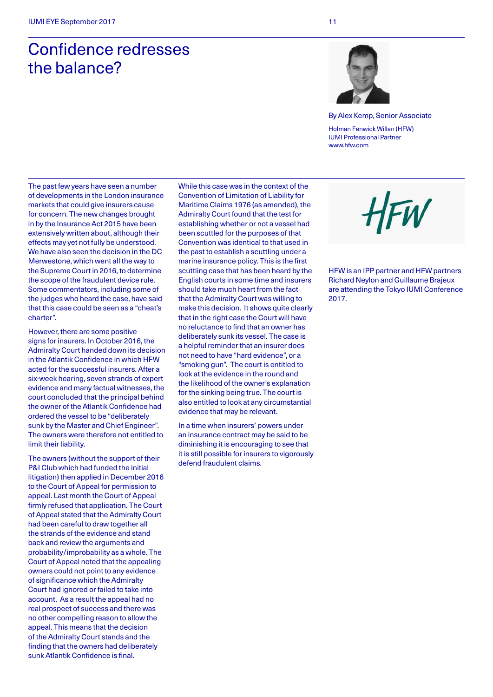# Confidence redresses the balance?



By Alex Kemp, Senior Associate Holman Fenwick Willan (HFW) IUMI Professional Partner www.hfw.com

The past few years have seen a number of developments in the London insurance markets that could give insurers cause for concern. The new changes brought in by the Insurance Act 2015 have been extensively written about, although their effects may yet not fully be understood. We have also seen the decision in the DC Merwestone, which went all the way to the Supreme Court in 2016, to determine the scope of the fraudulent device rule. Some commentators, including some of the judges who heard the case, have said that this case could be seen as a "cheat's charter".

However, there are some positive signs for insurers. In October 2016, the Admiralty Court handed down its decision in the Atlantik Confidence in which HFW acted for the successful insurers. After a six-week hearing, seven strands of expert evidence and many factual witnesses, the court concluded that the principal behind the owner of the Atlantik Confidence had ordered the vessel to be "deliberately sunk by the Master and Chief Engineer". The owners were therefore not entitled to limit their liability.

The owners (without the support of their P&I Club which had funded the initial litigation) then applied in December 2016 to the Court of Appeal for permission to appeal. Last month the Court of Appeal firmly refused that application. The Court of Appeal stated that the Admiralty Court had been careful to draw together all the strands of the evidence and stand back and review the arguments and probability/improbability as a whole. The Court of Appeal noted that the appealing owners could not point to any evidence of significance which the Admiralty Court had ignored or failed to take into account. As a result the appeal had no real prospect of success and there was no other compelling reason to allow the appeal. This means that the decision of the Admiralty Court stands and the finding that the owners had deliberately sunk Atlantik Confidence is final.

While this case was in the context of the Convention of Limitation of Liability for Maritime Claims 1976 (as amended), the Admiralty Court found that the test for establishing whether or not a vessel had been scuttled for the purposes of that Convention was identical to that used in the past to establish a scuttling under a marine insurance policy. This is the first scuttling case that has been heard by the English courts in some time and insurers should take much heart from the fact that the Admiralty Court was willing to make this decision. It shows quite clearly that in the right case the Court will have no reluctance to find that an owner has deliberately sunk its vessel. The case is a helpful reminder that an insurer does not need to have "hard evidence", or a "smoking gun". The court is entitled to look at the evidence in the round and the likelihood of the owner's explanation for the sinking being true. The court is also entitled to look at any circumstantial evidence that may be relevant.

In a time when insurers' powers under an insurance contract may be said to be diminishing it is encouraging to see that it is still possible for insurers to vigorously defend fraudulent claims.



HFW is an IPP partner and HFW partners Richard Neylon and Guillaume Brajeux are attending the Tokyo IUMI Conference 2017.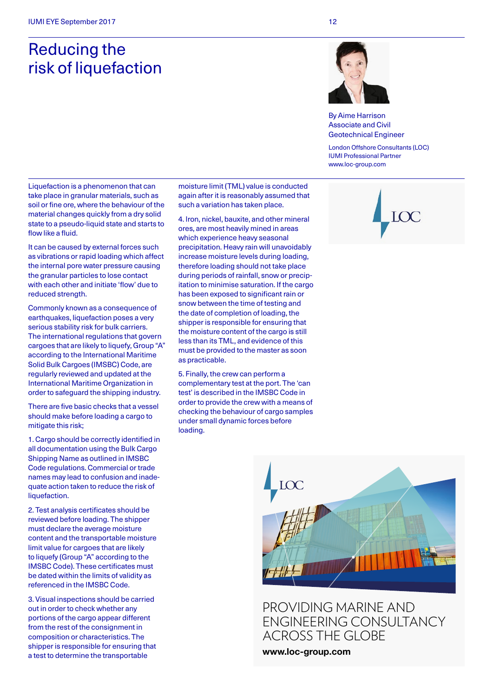## Reducing the risk of liquefaction



By Aime Harrison Associate and Civil Geotechnical Engineer

London Offshore Consultants (LOC) IUMI Professional Partner www.loc-group.com

Liquefaction is a phenomenon that can take place in granular materials, such as soil or fine ore, where the behaviour of the material changes quickly from a dry solid state to a pseudo-liquid state and starts to flow like a fluid.

It can be caused by external forces such as vibrations or rapid loading which affect the internal pore water pressure causing the granular particles to lose contact with each other and initiate 'flow' due to reduced strength.

Commonly known as a consequence of earthquakes, liquefaction poses a very serious stability risk for bulk carriers. The international regulations that govern cargoes that are likely to liquefy, Group "A" according to the International Maritime Solid Bulk Cargoes (IMSBC) Code, are regularly reviewed and updated at the International Maritime Organization in order to safeguard the shipping industry.

There are five basic checks that a vessel should make before loading a cargo to mitigate this risk;

1. Cargo should be correctly identified in all documentation using the Bulk Cargo Shipping Name as outlined in IMSBC Code regulations. Commercial or trade names may lead to confusion and inadequate action taken to reduce the risk of liquefaction.

2. Test analysis certificates should be reviewed before loading. The shipper must declare the average moisture content and the transportable moisture limit value for cargoes that are likely to liquefy (Group "A" according to the IMSBC Code). These certificates must be dated within the limits of validity as referenced in the IMSBC Code.

3. Visual inspections should be carried out in order to check whether any portions of the cargo appear different from the rest of the consignment in composition or characteristics. The shipper is responsible for ensuring that a test to determine the transportable

moisture limit (TML) value is conducted again after it is reasonably assumed that such a variation has taken place.

4. Iron, nickel, bauxite, and other mineral ores, are most heavily mined in areas which experience heavy seasonal precipitation. Heavy rain will unavoidably increase moisture levels during loading, therefore loading should not take place during periods of rainfall, snow or precipitation to minimise saturation. If the cargo has been exposed to significant rain or snow between the time of testing and the date of completion of loading, the shipper is responsible for ensuring that the moisture content of the cargo is still less than its TML, and evidence of this must be provided to the master as soon as practicable.

5. Finally, the crew can perform a complementary test at the port. The 'can test' is described in the IMSBC Code in order to provide the crew with a means of checking the behaviour of cargo samples under small dynamic forces before loading.





Providing marine and [engineering consultancy](http://www.loc-group.com)  across the globe

www.loc-group.com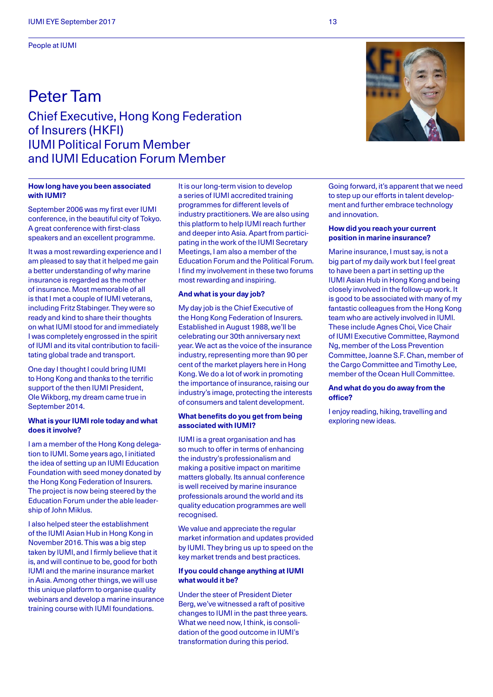People at IUMI

### Peter Tam Chief Executive, Hong Kong Federation of Insurers (HKFI) IUMI Political Forum Member and IUMI Education Forum Member

#### **How long have you been associated with IUMI?**

September 2006 was my first ever IUMI conference, in the beautiful city of Tokyo. A great conference with first-class speakers and an excellent programme.

It was a most rewarding experience and I am pleased to say that it helped me gain a better understanding of why marine insurance is regarded as the mother of insurance. Most memorable of all is that I met a couple of IUMI veterans, including Fritz Stabinger. They were so ready and kind to share their thoughts on what IUMI stood for and immediately I was completely engrossed in the spirit of IUMI and its vital contribution to facilitating global trade and transport.

One day I thought I could bring IUMI to Hong Kong and thanks to the terrific support of the then IUMI President, Ole Wikborg, my dream came true in September 2014.

#### **What is your IUMI role today and what does it involve?**

I am a member of the Hong Kong delegation to IUMI. Some years ago, I initiated the idea of setting up an IUMI Education Foundation with seed money donated by the Hong Kong Federation of Insurers. The project is now being steered by the Education Forum under the able leadership of John Miklus.

I also helped steer the establishment of the IUMI Asian Hub in Hong Kong in November 2016. This was a big step taken by IUMI, and I firmly believe that it is, and will continue to be, good for both IUMI and the marine insurance market in Asia. Among other things, we will use this unique platform to organise quality webinars and develop a marine insurance training course with IUMI foundations.

It is our long-term vision to develop a series of IUMI accredited training programmes for different levels of industry practitioners. We are also using this platform to help IUMI reach further and deeper into Asia. Apart from participating in the work of the IUMI Secretary Meetings, I am also a member of the Education Forum and the Political Forum. I find my involvement in these two forums most rewarding and inspiring.

#### **And what is your day job?**

My day job is the Chief Executive of the Hong Kong Federation of Insurers. Established in August 1988, we'll be celebrating our 30th anniversary next year. We act as the voice of the insurance industry, representing more than 90 per cent of the market players here in Hong Kong. We do a lot of work in promoting the importance of insurance, raising our industry's image, protecting the interests of consumers and talent development.

#### **What benefits do you get from being associated with IUMI?**

IUMI is a great organisation and has so much to offer in terms of enhancing the industry's professionalism and making a positive impact on maritime matters globally. Its annual conference is well received by marine insurance professionals around the world and its quality education programmes are well recognised.

We value and appreciate the regular market information and updates provided by IUMI. They bring us up to speed on the key market trends and best practices.

#### **If you could change anything at IUMI what would it be?**

Under the steer of President Dieter Berg, we've witnessed a raft of positive changes to IUMI in the past three years. What we need now, I think, is consolidation of the good outcome in IUMI's transformation during this period.

Going forward, it's apparent that we need to step up our efforts in talent development and further embrace technology and innovation.

#### **How did you reach your current position in marine insurance?**

Marine insurance, I must say, is not a big part of my daily work but I feel great to have been a part in setting up the IUMI Asian Hub in Hong Kong and being closely involved in the follow-up work. It is good to be associated with many of my fantastic colleagues from the Hong Kong team who are actively involved in IUMI. These include Agnes Choi, Vice Chair of IUMI Executive Committee, Raymond Ng, member of the Loss Prevention Committee, Joanne S.F. Chan, member of the Cargo Committee and Timothy Lee, member of the Ocean Hull Committee.

#### **And what do you do away from the office?**

I enjoy reading, hiking, travelling and exploring new ideas.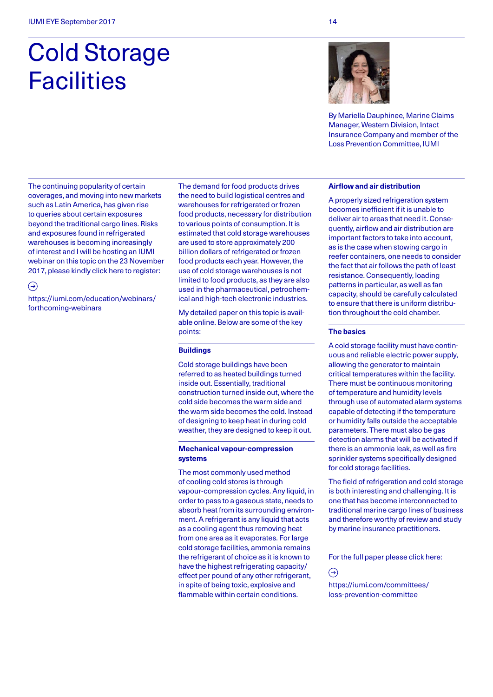# Cold Storage **Facilities**

The continuing popularity of certain coverages, and moving into new markets such as Latin America, has given rise to queries about certain exposures beyond the traditional cargo lines. Risks and exposures found in refrigerated warehouses is becoming increasingly of interest and I will be hosting an IUMI webinar on this topic on the 23 November 2017, please kindly click here to register:

 $\bigodot$ 

[https://iumi.com/education/webinars/](https://iumi.com/education/webinars/forthcoming-webinars) [forthcoming-webinars](https://iumi.com/education/webinars/forthcoming-webinars) 

The demand for food products drives the need to build logistical centres and warehouses for refrigerated or frozen food products, necessary for distribution to various points of consumption. It is estimated that cold storage warehouses are used to store approximately 200 billion dollars of refrigerated or frozen food products each year. However, the use of cold storage warehouses is not limited to food products, as they are also used in the pharmaceutical, petrochemical and high-tech electronic industries.

My detailed paper on this topic is available online. Below are some of the key points:

#### **Buildings**

Cold storage buildings have been referred to as heated buildings turned inside out. Essentially, traditional construction turned inside out, where the cold side becomes the warm side and the warm side becomes the cold. Instead of designing to keep heat in during cold weather, they are designed to keep it out.

#### **Mechanical vapour-compression systems**

The most commonly used method of cooling cold stores is through vapour-compression cycles. Any liquid, in order to pass to a gaseous state, needs to absorb heat from its surrounding environment. A refrigerant is any liquid that acts as a cooling agent thus removing heat from one area as it evaporates. For large cold storage facilities, ammonia remains the refrigerant of choice as it is known to have the highest refrigerating capacity/ effect per pound of any other refrigerant, in spite of being toxic, explosive and flammable within certain conditions.

By Mariella Dauphinee, Marine Claims Manager, Western Division, Intact Insurance Company and member of the Loss Prevention Committee, IUMI

#### **Airflow and air distribution**

A properly sized refrigeration system becomes inefficient if it is unable to deliver air to areas that need it. Consequently, airflow and air distribution are important factors to take into account, as is the case when stowing cargo in reefer containers, one needs to consider the fact that air follows the path of least resistance. Consequently, loading patterns in particular, as well as fan capacity, should be carefully calculated to ensure that there is uniform distribution throughout the cold chamber.

#### **The basics**

A cold storage facility must have continuous and reliable electric power supply, allowing the generator to maintain critical temperatures within the facility. There must be continuous monitoring of temperature and humidity levels through use of automated alarm systems capable of detecting if the temperature or humidity falls outside the acceptable parameters. There must also be gas detection alarms that will be activated if there is an ammonia leak, as well as fire sprinkler systems specifically designed for cold storage facilities.

The field of refrigeration and cold storage is both interesting and challenging. It is one that has become interconnected to traditional marine cargo lines of business and therefore worthy of review and study by marine insurance practitioners.

For the full paper please click here:

 $\bigodot$ 

[https://iumi.com/committees/](https://iumi.com/committees/loss-prevention-committee) [loss-prevention-committee](https://iumi.com/committees/loss-prevention-committee)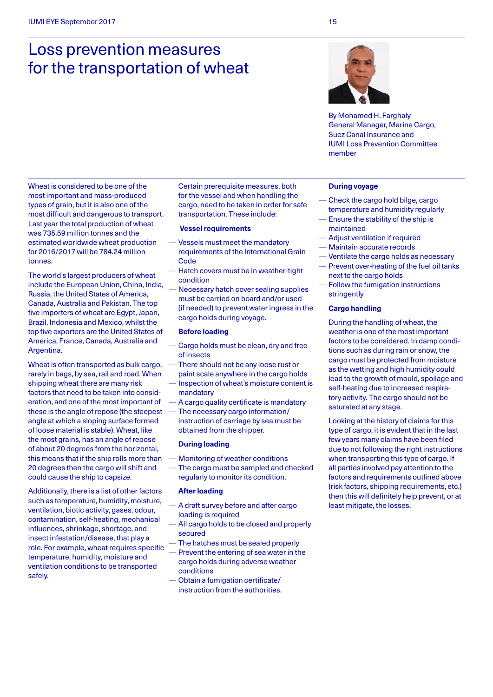## Loss prevention measures for the transportation of wheat



By Mohamed H. Farghaly General Manager, Marine Cargo, Suez Canal Insurance and IUMI Loss Prevention Committee member

Wheat is considered to be one of the most important and mass-produced types of grain, but it is also one of the most difficult and dangerous to transport. Last year the total production of wheat was 735.59 million tonnes and the estimated worldwide wheat production for 2016/2017 will be 784.24 million tonnes.

The world's largest producers of wheat include the European Union, China, India, Russia, the United States of America, Canada, Australia and Pakistan. The top five importers of wheat are Egypt, Japan, Brazil, Indonesia and Mexico, whilst the top five exporters are the United States of America, France, Canada, Australia and Argentina.

Wheat is often transported as bulk cargo, rarely in bags, by sea, rail and road. When shipping wheat there are many risk factors that need to be taken into consideration, and one of the most important of these is the angle of repose (the steepest angle at which a sloping surface formed of loose material is stable). Wheat, like the most grains, has an angle of repose of about 20 degrees from the horizontal, this means that if the ship rolls more than 20 degrees then the cargo will shift and could cause the ship to capsize.

Additionally, there is a list of other factors such as temperature, humidity, moisture, ventilation, biotic activity, gases, odour, contamination, self-heating, mechanical influences, shrinkage, shortage, and insect infestation/disease, that play a role. For example, wheat requires specific temperature, humidity, moisture and ventilation conditions to be transported safely.

Certain prerequisite measures, both for the vessel and when handling the cargo, need to be taken in order for safe transportation. These include:

#### **Vessel requirements**

- Vessels must meet the mandatory requirements of the International Grain **Code**
- Hatch covers must be in weather-tight condition
- Necessary hatch cover sealing supplies must be carried on board and/or used (if needed) to prevent water ingress in the cargo holds during voyage.

#### **Before loading**

- Cargo holds must be clean, dry and free of insects
- There should not be any loose rust or paint scale anywhere in the cargo holds
- Inspection of wheat's moisture content is mandatory
- A cargo quality certificate is mandatory — The necessary cargo information/
- instruction of carriage by sea must be obtained from the shipper.

#### **During loading**

- Monitoring of weather conditions
- The cargo must be sampled and checked regularly to monitor its condition.

#### **After loading**

- A draft survey before and after cargo loading is required
- All cargo holds to be closed and properly secured
- The hatches must be sealed properly Prevent the entering of sea water in the cargo holds during adverse weather conditions
- Obtain a fumigation certificate/ instruction from the authorities.

#### **During voyage**

- Check the cargo hold bilge, cargo temperature and humidity regularly
- Ensure the stability of the ship is maintained
- Adjust ventilation if required
- Maintain accurate records
- Ventilate the cargo holds as necessary — Prevent over-heating of the fuel oil tanks
- next to the cargo holds
- Follow the fumigation instructions stringently

#### **Cargo handling**

During the handling of wheat, the weather is one of the most important factors to be considered. In damp conditions such as during rain or snow, the cargo must be protected from moisture as the wetting and high humidity could lead to the growth of mould, spoilage and self-heating due to increased respiratory activity. The cargo should not be saturated at any stage.

Looking at the history of claims for this type of cargo, it is evident that in the last few years many claims have been filed due to not following the right instructions when transporting this type of cargo. If all parties involved pay attention to the factors and requirements outlined above (risk factors, shipping requirements, etc.) then this will definitely help prevent, or at least mitigate, the losses.